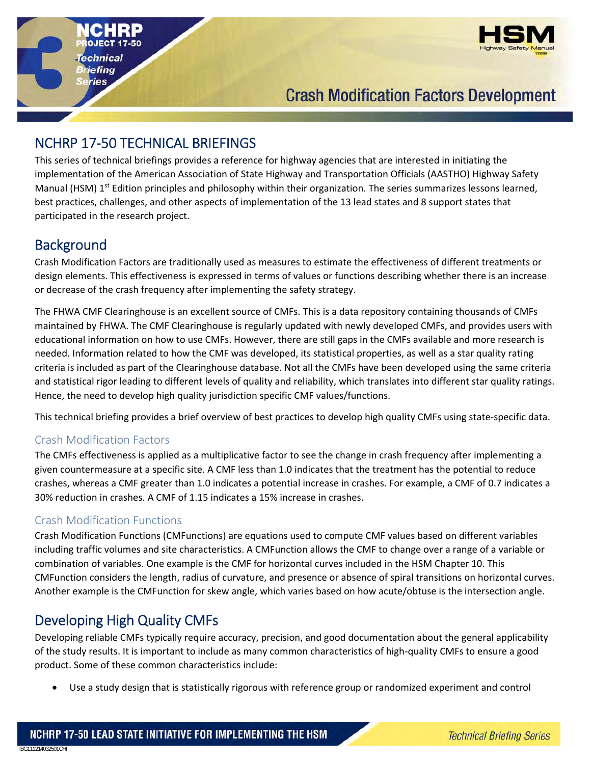

# **Crash Modification Factors Development**

## NCHRP 17‐50 TECHNICAL BRIEFINGS

chnical iefing ies

This series of technical briefings provides a reference for highway agencies that are interested in initiating the implementation of the American Association of State Highway and Transportation Officials (AASTHO) Highway Safety Manual (HSM) 1<sup>st</sup> Edition principles and philosophy within their organization. The series summarizes lessons learned, best practices, challenges, and other aspects of implementation of the 13 lead states and 8 support states that participated in the research project.

### **Background**

Crash Modification Factors are traditionally used as measures to estimate the effectiveness of different treatments or design elements. This effectiveness is expressed in terms of values or functions describing whether there is an increase or decrease of the crash frequency after implementing the safety strategy.

The FHWA CMF Clearinghouse is an excellent source of CMFs. This is a data repository containing thousands of CMFs maintained by FHWA. The CMF Clearinghouse is regularly updated with newly developed CMFs, and provides users with educational information on how to use CMFs. However, there are still gaps in the CMFs available and more research is needed. Information related to how the CMF was developed, its statistical properties, as well as a star quality rating criteria is included as part of the Clearinghouse database. Not all the CMFs have been developed using the same criteria and statistical rigor leading to different levels of quality and reliability, which translates into different star quality ratings. Hence, the need to develop high quality jurisdiction specific CMF values/functions.

This technical briefing provides a brief overview of best practices to develop high quality CMFs using state‐specific data.

#### Crash Modification Factors

The CMFs effectiveness is applied as a multiplicative factor to see the change in crash frequency after implementing a given countermeasure at a specific site. A CMF less than 1.0 indicates that the treatment has the potential to reduce crashes, whereas a CMF greater than 1.0 indicates a potential increase in crashes. For example, a CMF of 0.7 indicates a 30% reduction in crashes. A CMF of 1.15 indicates a 15% increase in crashes.

#### Crash Modification Functions

Crash Modification Functions (CMFunctions) are equations used to compute CMF values based on different variables including traffic volumes and site characteristics. A CMFunction allows the CMF to change over a range of a variable or combination of variables. One example is the CMF for horizontal curves included in the HSM Chapter 10. This CMFunction considers the length, radius of curvature, and presence or absence of spiral transitions on horizontal curves. Another example is the CMFunction for skew angle, which varies based on how acute/obtuse is the intersection angle.

# Developing High Quality CMFs

TBG111214032501CHI

Developing reliable CMFs typically require accuracy, precision, and good documentation about the general applicability of the study results. It is important to include as many common characteristics of high‐quality CMFs to ensure a good product. Some of these common characteristics include:

Use a study design that is statistically rigorous with reference group or randomized experiment and control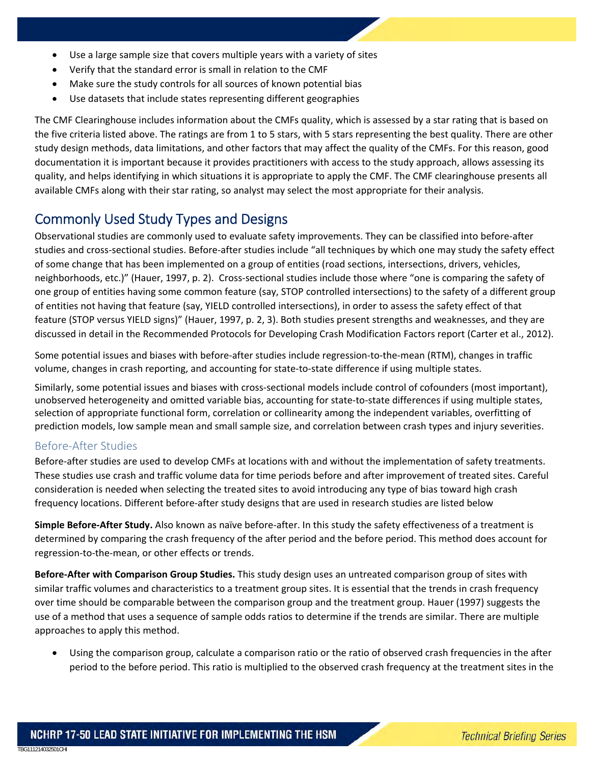- Use a large sample size that covers multiple years with a variety of sites
- Verify that the standard error is small in relation to the CMF
- Make sure the study controls for all sources of known potential bias
- Use datasets that include states representing different geographies

The CMF Clearinghouse includes information about the CMFs quality, which is assessed by a star rating that is based on the five criteria listed above. The ratings are from 1 to 5 stars, with 5 stars representing the best quality. There are other study design methods, data limitations, and other factors that may affect the quality of the CMFs. For this reason, good documentation it is important because it provides practitioners with access to the study approach, allows assessing its quality, and helps identifying in which situations it is appropriate to apply the CMF. The CMF clearinghouse presents all available CMFs along with their star rating, so analyst may select the most appropriate for their analysis.

### Commonly Used Study Types and Designs

Observational studies are commonly used to evaluate safety improvements. They can be classified into before‐after studies and cross‐sectional studies. Before‐after studies include "all techniques by which one may study the safety effect of some change that has been implemented on a group of entities (road sections, intersections, drivers, vehicles, neighborhoods, etc.)" (Hauer, 1997, p. 2). Cross‐sectional studies include those where "one is comparing the safety of one group of entities having some common feature (say, STOP controlled intersections) to the safety of a different group of entities not having that feature (say, YIELD controlled intersections), in order to assess the safety effect of that feature (STOP versus YIELD signs)" (Hauer, 1997, p. 2, 3). Both studies present strengths and weaknesses, and they are discussed in detail in the Recommended Protocols for Developing Crash Modification Factors report (Carter et al., 2012).

Some potential issues and biases with before‐after studies include regression‐to‐the‐mean (RTM), changes in traffic volume, changes in crash reporting, and accounting for state-to-state difference if using multiple states.

Similarly, some potential issues and biases with cross‐sectional models include control of cofounders (most important), unobserved heterogeneity and omitted variable bias, accounting for state-to-state differences if using multiple states, selection of appropriate functional form, correlation or collinearity among the independent variables, overfitting of prediction models, low sample mean and small sample size, and correlation between crash types and injury severities.

#### Before‐After Studies

TBG111214032501CHI

Before-after studies are used to develop CMFs at locations with and without the implementation of safety treatments. These studies use crash and traffic volume data for time periods before and after improvement of treated sites. Careful consideration is needed when selecting the treated sites to avoid introducing any type of bias toward high crash frequency locations. Different before‐after study designs that are used in research studies are listed below

**Simple Before‐After Study.** Also known as naïve before‐after. In this study the safety effectiveness of a treatment is determined by comparing the crash frequency of the after period and the before period. This method does account for regression‐to‐the‐mean, or other effects or trends.

**Before‐After with Comparison Group Studies.** This study design uses an untreated comparison group of sites with similar traffic volumes and characteristics to a treatment group sites. It is essential that the trends in crash frequency over time should be comparable between the comparison group and the treatment group. Hauer (1997) suggests the use of a method that uses a sequence of sample odds ratios to determine if the trends are similar. There are multiple approaches to apply this method.

 Using the comparison group, calculate a comparison ratio or the ratio of observed crash frequencies in the after period to the before period. This ratio is multiplied to the observed crash frequency at the treatment sites in the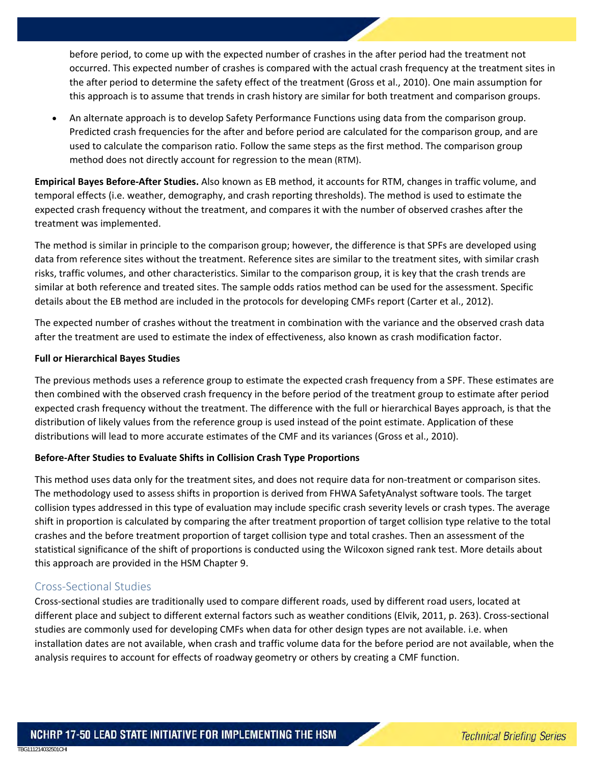before period, to come up with the expected number of crashes in the after period had the treatment not occurred. This expected number of crashes is compared with the actual crash frequency at the treatment sites in the after period to determine the safety effect of the treatment (Gross et al., 2010). One main assumption for this approach is to assume that trends in crash history are similar for both treatment and comparison groups.

 An alternate approach is to develop Safety Performance Functions using data from the comparison group. Predicted crash frequencies for the after and before period are calculated for the comparison group, and are used to calculate the comparison ratio. Follow the same steps as the first method. The comparison group method does not directly account for regression to the mean (RTM).

**Empirical Bayes Before‐After Studies.** Also known as EB method, it accounts for RTM, changes in traffic volume, and temporal effects (i.e. weather, demography, and crash reporting thresholds). The method is used to estimate the expected crash frequency without the treatment, and compares it with the number of observed crashes after the treatment was implemented.

The method is similar in principle to the comparison group; however, the difference is that SPFs are developed using data from reference sites without the treatment. Reference sites are similar to the treatment sites, with similar crash risks, traffic volumes, and other characteristics. Similar to the comparison group, it is key that the crash trends are similar at both reference and treated sites. The sample odds ratios method can be used for the assessment. Specific details about the EB method are included in the protocols for developing CMFs report (Carter et al., 2012).

The expected number of crashes without the treatment in combination with the variance and the observed crash data after the treatment are used to estimate the index of effectiveness, also known as crash modification factor.

#### **Full or Hierarchical Bayes Studies**

The previous methods uses a reference group to estimate the expected crash frequency from a SPF. These estimates are then combined with the observed crash frequency in the before period of the treatment group to estimate after period expected crash frequency without the treatment. The difference with the full or hierarchical Bayes approach, is that the distribution of likely values from the reference group is used instead of the point estimate. Application of these distributions will lead to more accurate estimates of the CMF and its variances (Gross et al., 2010).

#### **Before‐After Studies to Evaluate Shifts in Collision Crash Type Proportions**

This method uses data only for the treatment sites, and does not require data for non-treatment or comparison sites. The methodology used to assess shifts in proportion is derived from FHWA SafetyAnalyst software tools. The target collision types addressed in this type of evaluation may include specific crash severity levels or crash types. The average shift in proportion is calculated by comparing the after treatment proportion of target collision type relative to the total crashes and the before treatment proportion of target collision type and total crashes. Then an assessment of the statistical significance of the shift of proportions is conducted using the Wilcoxon signed rank test. More details about this approach are provided in the HSM Chapter 9.

#### Cross‐Sectional Studies

TBG111214032501CHI

Cross‐sectional studies are traditionally used to compare different roads, used by different road users, located at different place and subject to different external factors such as weather conditions (Elvik, 2011, p. 263). Cross-sectional studies are commonly used for developing CMFs when data for other design types are not available. i.e. when installation dates are not available, when crash and traffic volume data for the before period are not available, when the analysis requires to account for effects of roadway geometry or others by creating a CMF function.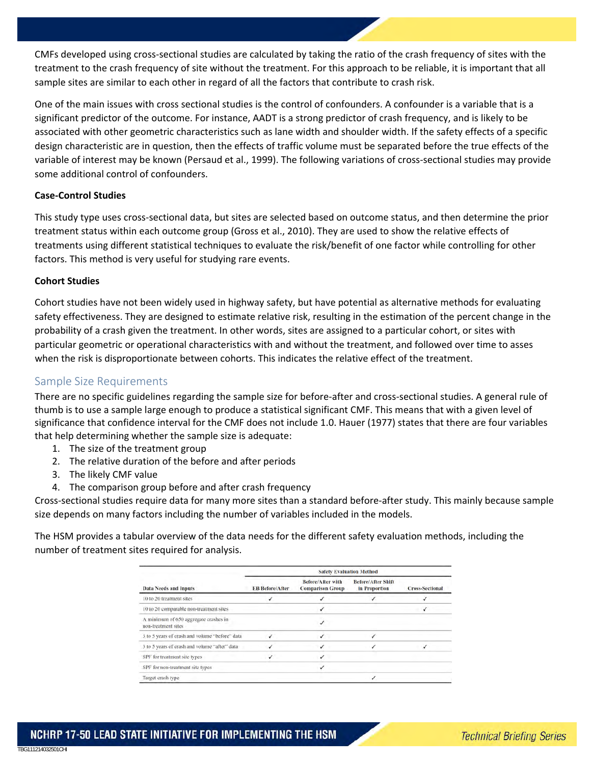CMFs developed using cross‐sectional studies are calculated by taking the ratio of the crash frequency of sites with the treatment to the crash frequency of site without the treatment. For this approach to be reliable, it is important that all sample sites are similar to each other in regard of all the factors that contribute to crash risk.

One of the main issues with cross sectional studies is the control of confounders. A confounder is a variable that is a significant predictor of the outcome. For instance, AADT is a strong predictor of crash frequency, and is likely to be associated with other geometric characteristics such as lane width and shoulder width. If the safety effects of a specific design characteristic are in question, then the effects of traffic volume must be separated before the true effects of the variable of interest may be known (Persaud et al., 1999). The following variations of cross‐sectional studies may provide some additional control of confounders.

#### **Case‐Control Studies**

This study type uses cross‐sectional data, but sites are selected based on outcome status, and then determine the prior treatment status within each outcome group (Gross et al., 2010). They are used to show the relative effects of treatments using different statistical techniques to evaluate the risk/benefit of one factor while controlling for other factors. This method is very useful for studying rare events.

#### **Cohort Studies**

TBG111214032501CHI

Cohort studies have not been widely used in highway safety, but have potential as alternative methods for evaluating safety effectiveness. They are designed to estimate relative risk, resulting in the estimation of the percent change in the probability of a crash given the treatment. In other words, sites are assigned to a particular cohort, or sites with particular geometric or operational characteristics with and without the treatment, and followed over time to asses when the risk is disproportionate between cohorts. This indicates the relative effect of the treatment.

#### Sample Size Requirements

There are no specific guidelines regarding the sample size for before-after and cross-sectional studies. A general rule of thumb is to use a sample large enough to produce a statistical significant CMF. This means that with a given level of significance that confidence interval for the CMF does not include 1.0. Hauer (1977) states that there are four variables that help determining whether the sample size is adequate:

- 1. The size of the treatment group
- 2. The relative duration of the before and after periods
- 3. The likely CMF value
- 4. The comparison group before and after crash frequency

Cross‐sectional studies require data for many more sites than a standard before‐after study. This mainly because sample size depends on many factors including the number of variables included in the models.

The HSM provides a tabular overview of the data needs for the different safety evaluation methods, including the number of treatment sites required for analysis.

| <b>Data Needs and Inputs</b>                                 | <b>Safety Evaluation Method</b> |                                                     |                                            |                        |
|--------------------------------------------------------------|---------------------------------|-----------------------------------------------------|--------------------------------------------|------------------------|
|                                                              | <b>EB Before/After</b>          | <b>Before/After with</b><br><b>Comparison Group</b> | <b>Before/After Shift</b><br>in Proportion | <b>Cross-Sectional</b> |
| 10 to 20 treatment sites                                     |                                 |                                                     |                                            |                        |
| 10 to 20 comparable non-treatment sites                      |                                 |                                                     |                                            |                        |
| A minimum of 650 aggregate crashes in<br>non-treatment sites |                                 |                                                     |                                            |                        |
| 3 to 5 years of crash and volume "before" data               |                                 |                                                     |                                            |                        |
| 3 to 5 years of crash and volume "after" data                | ✓                               | ┙                                                   |                                            |                        |
| SPF for treatment site types                                 |                                 |                                                     |                                            |                        |
| SPF for non-treatment site types                             |                                 |                                                     |                                            |                        |
| Target crash type                                            |                                 |                                                     |                                            |                        |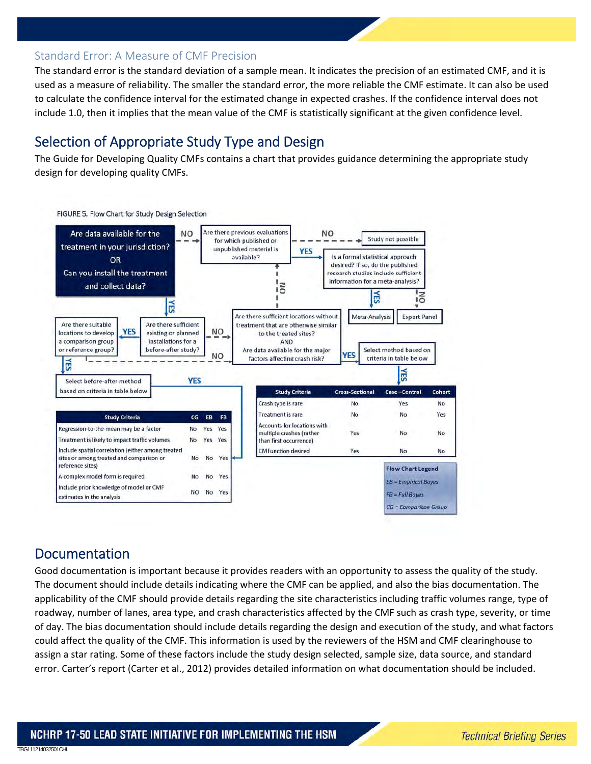#### Standard Error: A Measure of CMF Precision

The standard error is the standard deviation of a sample mean. It indicates the precision of an estimated CMF, and it is used as a measure of reliability. The smaller the standard error, the more reliable the CMF estimate. It can also be used to calculate the confidence interval for the estimated change in expected crashes. If the confidence interval does not include 1.0, then it implies that the mean value of the CMF is statistically significant at the given confidence level.

### Selection of Appropriate Study Type and Design

The Guide for Developing Quality CMFs contains a chart that provides guidance determining the appropriate study design for developing quality CMFs.



### Documentation

TBG111214032501CHI

Good documentation is important because it provides readers with an opportunity to assess the quality of the study. The document should include details indicating where the CMF can be applied, and also the bias documentation. The applicability of the CMF should provide details regarding the site characteristics including traffic volumes range, type of roadway, number of lanes, area type, and crash characteristics affected by the CMF such as crash type, severity, or time of day. The bias documentation should include details regarding the design and execution of the study, and what factors could affect the quality of the CMF. This information is used by the reviewers of the HSM and CMF clearinghouse to assign a star rating. Some of these factors include the study design selected, sample size, data source, and standard error. Carter's report (Carter et al., 2012) provides detailed information on what documentation should be included.